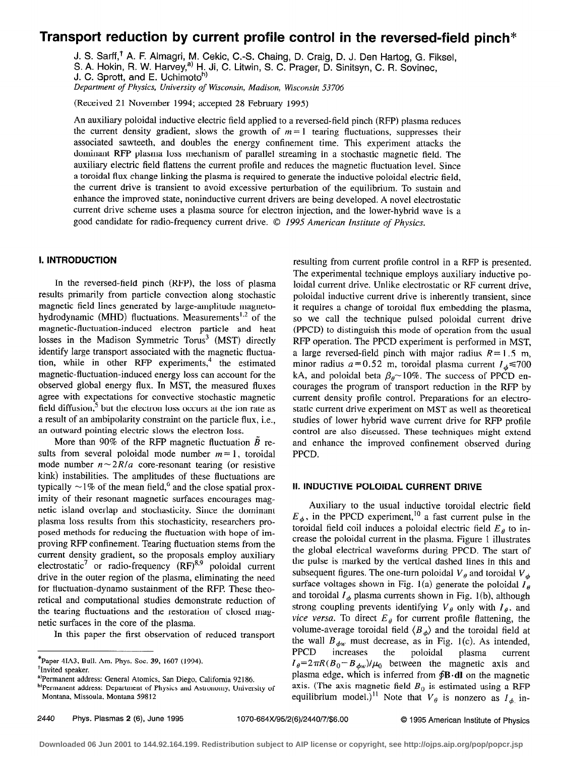# Transport reduction by current profile control in the reversed-field pinch\*

J. S. Sarff,<sup>†</sup> A. F. Almagri, M. Cekic, C.-S. Chaing, D. Craig, D. J. Den Hartog, G. Fiksel,

S. A. Hokin, R. W. Harvey,<sup>a)</sup> H. Ji, C. Litwin, S. C. Prager, D. Sinitsyn, C. R. Sovinec,

J. C. Sprott, and E. Uchimoto<sup>b)</sup>

Department of Physics, University of Wisconsin, Madison, Wisconsin 53706

(Received 21 November 1994; accepted 28 February 1995)

An auxiliary poloidal inductive electric field applied to a reversed-field pinch (RFP) plasma reduces the current density gradient, slows the growth of  $m = 1$  tearing fluctuations, suppresses their associated sawteeth, and doubles the energy confinement time. This experiment attacks the dominant RFP plasma loss mechanism of parallel streaming in a stochastic magnetic field. The auxiliary electric field flattens the current profile and reduces the magnetic fluctuation level. Since a toroidal flux change linking the plasma is required to generate the inductive poloidal electric field, the current drive is transient to avoid excessive perturbation of the equilibrium. To sustain and enhance the improved state, noninductive current drivers are being developed. A novel electrostatic current drive scheme uses a plasma source for electron injection, and the lower-hybrid wave is a good candidate for radio-frequency current drive. © 1995 American Institute of Physics.

# **I. INTRODUCTION**

In the reversed-field pinch (REP), the loss of plasma results primarily from particle convection along stochastic magnetic field lines generated by large-amplitude magnetohydrodynamic (MHD) fluctuations. Measurements<sup>1,2</sup> of the magnetic-fluctuation-induced electron particle and heat losses in the Madison Symmetric Torus<sup>3</sup> (MST) directly identify large transport associated with the magnetic fluctuation, while in other RFP experiments,<sup>4</sup> the estimated magnetic-fluctuation-induced energy loss can account for the observed global energy flux. In MST, the measured fluxes agree with expectations for convective stochastic magnetic field diffusion, $<sup>5</sup>$  but the electron loss occurs at the ion rate as</sup> a result of an ambipolarity constraint on the particle flux, i.e., an outward pointing electric slows the electron loss.

More than 90% of the RFP magnetic fluctuation  $\tilde{B}$  results from several poloidal mode number  $m = 1$ , toroidal mode number  $n \sim 2R/a$  core-resonant tearing (or resistive kink) instabilities. The amplitudes of these fluctuations are typically  $\sim$  1% of the mean field,<sup>6</sup> and the close spatial proximity of their resonant magnetic surfaces encourages magnetic island overlap and stochasticity. Since the dominant plasma loss results from this stochasticity, researchers proposed methods for reducing the fluctuation with hope of improving RFP confinement. Tearing fluctuation stems from the current density gradient, so the proposals employ auxiliary electrostatic<sup>7</sup> or radio-frequency  $(RF)^{8,9}$  poloidal current drive in the outer region of the plasma, eliminating the need for fluctuation-dynamo sustainment of the RFP. These theoretical and computational studies demonstrate reduction of the tearing fluctuations and the restoration of closed magnetic surfaces in the core of the plasma.

In this paper the first observation of reduced transport

b)Permanent address: Department of Physics and Astronomy, University of Montana. Missoula, Montana 59812

resulting from current profile control in a RFP is presented. The experimental technique employs auxiliary inductive poloidal current drive. Unlike electrostatic or RF current drive, poloidal inductive current drive is inherently transient, since it requires a change of toroidal flux embedding the plasma, so we call the technique pulsed poloidal current drive (PPCD) to distinguish this mode of operation from the usual RFP operation. The PPCD experiment is performed in MST, a large reversed-field pinch with major radius  $R = 1.5$  m, minor radius  $a = 0.52$  m, toroidal plasma current  $I<sub>ab</sub> \le 700$ kA, and poloidal beta  $\beta_{\theta} \sim 10\%$ . The success of PPCD encourages the program of transport reduction in the RFP by current density profile control. Preparations for an electrostatic current drive experiment on MST as well as theoretical studies of lower hybrid wave current drive for RFP profile control are also discussed. These techniques might extend and enhance the improved confinement observed during PPCD.

# II. INDUCTIVE POLOIDAL CURRENT DRIVE

Auxiliary to the usual inductive toroidal electric field  $E_{\phi}$ , in the PPCD experiment,<sup>10</sup> a fast current pulse in the toroidal field coil induces a poloidal electric field  $E<sub>a</sub>$  to increase the poloidal current in the plasma. Figure 1 illustrates the global electrical waveforms during PPCD. The start of the pulse is marked by the vertical dashed lines in this and subsequent figures. The one-turn poloidal  $V_{\theta}$  and toroidal  $V_{\phi}$ surface voltages shown in Fig. 1(a) generate the poloidal  $I_{\theta}$ and toroidal  $I_{\phi}$  plasma currents shown in Fig. 1(b), although strong coupling prevents identifying  $V_{\theta}$  only with  $I_{\theta}$ , and vice versa. To direct  $E_{\theta}$  for current profile flattening, the volume-average toroidal field  $\langle B_{\phi} \rangle$  and the toroidal field at the wall  $B_{\phi w}$  must decrease, as in Fig. 1(c). As intended, PPCD increases the poloidal plasma current  $I_{\theta} = 2\pi R(B_0 - B_{\phi w})/\mu_0$  between the magnetic axis and plasma edge, which is inferred from  $\oint$ **B**  $\cdot$ **dI** on the magnetic axis. (The axis magnetic field  $B_0$  is estimated using a RFP equilibrium model.)<sup>11</sup> Note that  $V_{\theta}$  is nonzero as  $I_{\phi}$  in-

<sup>\*</sup>Paper 4IA3, Bull. Am. Phys. Sot. 39, 1607 (1994). 'Invited speaker.

a'Permanent address: General Atomics, San Diego, California 92186.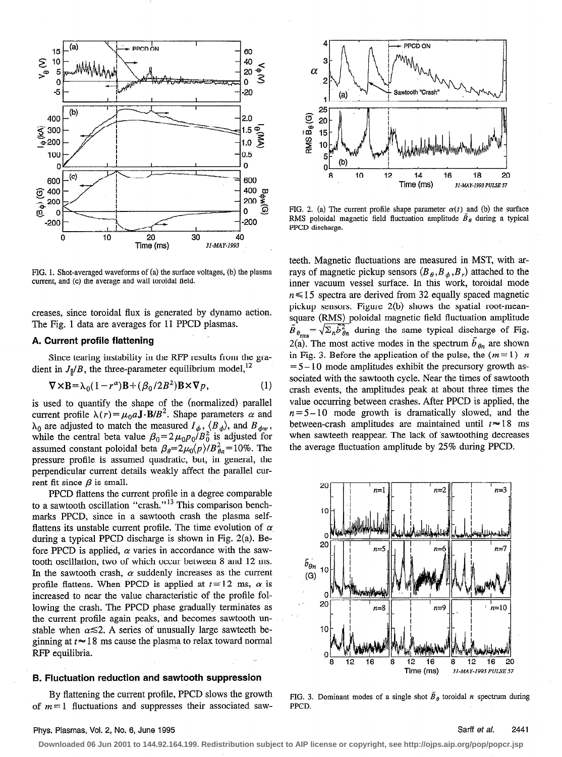

FIG. 1. Shot-averaged waveforms of (a) the surface voltages, (b) the plasma current, and (c) the average and wall toroidal field.

creases, since toroidal flux is generated by dynamo action. The Fig. 1 data are averages for 11 PPCD plasmas.

#### A. Current profile flattening

Since tearing instability in the RFP results from the gradient in  $J_{\parallel}/B$ , the three-parameter equilibrium model,<sup>12</sup>

$$
\nabla \times \mathbf{B} = \lambda_0 (1 - r^{\alpha}) \mathbf{B} + (\beta_0 / 2B^2) \mathbf{B} \times \nabla p, \tag{1}
$$

is used to quantify the shape of the (normalized) parallel current profile  $\lambda(r) = \mu_0 a \mathbf{J} \cdot \mathbf{B}/B^2$ . Shape parameters  $\alpha$  and  $\lambda_0$  are adjusted to match the measured  $I_{\phi}$ ,  $\langle B_{\phi} \rangle$ , and  $B_{\phi w}$ , while the central beta value  $\beta_0=2\mu_0p_0/B_0^2$  is adjusted for assumed constant poloidal beta  $\beta_{\theta}=2\mu_0\langle p\rangle/B_{\theta a}^2=10\%$ . The pressure profile is assumed quadratic, but, in general, the perpendicular current details weakly affect the parallel current fit since  $\beta$  is small.

PPCD flattens the current profile in a degree comparable to a sawtooth oscillation "crash."<sup>13</sup> This comparison benchmarks PPCD, since in a sawtooth crash the plasma selfflattens its unstable current profile. The time evolution of  $\alpha$ during a typical PPCD discharge is shown in Fig. 2(a). Before PPCD is applied,  $\alpha$  varies in accordance with the sawtooth oscillation, two of which occur between 8 and 12 ms. In the sawtooth crash,  $\alpha$  suddenly increases as the current profile flattens. When PPCD is applied at  $t=12$  ms,  $\alpha$  is increased to near the value characteristic of the profile following the crash. The PPCD phase gradually terminates as the current profile again peaks, and becomes sawtooth unstable when  $\alpha \leq 2$ . A series of unusually large sawteeth beginning at  $t \approx 18$  ms cause the plasma to relax toward normal RFP equilibria.

# B. Fluctuation reduction and sawtooth suppression

By flattening the current profile, PPCD slows the growth of  $m=1$  fluctuations and suppresses their associated saw-



FIG. 2. (a) The current profile shape parameter  $\alpha(t)$  and (b) the surface RMS poloidal magnetic field fluctuation amplitude  $\hat{B}_{\theta}$  during a typical PPCD discharge.

teeth. Magnetic fluctuations are measured in MST, with arrays of magnetic pickup sensors  $(B_{\theta}, B_{\phi}, B_{r})$  attached to the inner vacuum vessel surface. In this work, toroidal mode  $n \le 15$  spectra are derived from 32 equally spaced magnetic pickup sensors. Figure 2(b) shows the spatial root-meansquare (RMS) poloidal magnetic field fluctuation amplitude  $\tilde{B}_{\theta_{\rm rms}} = \sqrt{\Sigma_n} \tilde{b}_{\theta n}^2$  during the same typical discharge of Fig. 2(a). The most active modes in the spectrum  $\tilde{b}_{\theta n}$  are shown in Fig. 3. Before the application of the pulse, the  $(m=1)$  n  $= 5 - 10$  mode amplitudes exhibit the precursory growth associated with the sawtooth cycle. Near the times of sawtooth crash events, the amplitudes peak at about three times the value occurring between crashes. After PPCD is applied, the  $n = 5 - 10$  mode growth is dramatically slowed, and the between-crash amplitudes are maintained until  $t \approx 18$  ms when sawteeth reappear. The lack of sawtoothing decreases the average fluctuation amplitude by 25% during PPCD.



FIG. 3. Dominant modes of a single shot  $\tilde{B}_{\theta}$  toroidal n spectrum during PPCD.

# Phys. Plasmas, Vol. 2, No. 6, June 1995 Sartf et al. 2441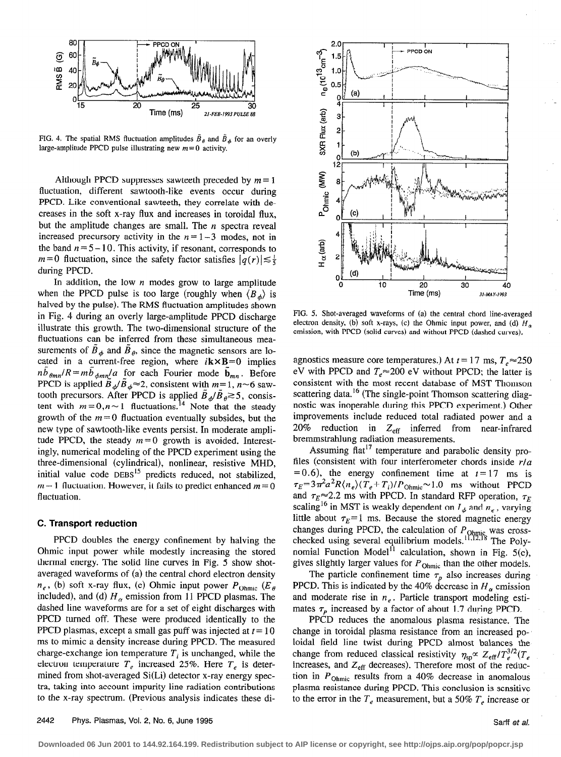

FIG. 4. The spatial RMS fluctuation amplitudes  $\tilde{B}_{\theta}$  and  $\tilde{B}_{\phi}$  for an overly large-amplitude PPCD pulse illustrating new  $m = 0$  activity.

Although PPCD suppresses sawteeth preceded by  $m=1$ fluctuation, different sawtooth-like events occur during PPCD. Like conventional sawteeth, they correlate with decreases in the soft x-ray flux and increases in toroidal flux, but the amplitude changes are small. The  $n$  spectra reveal increased precursory activity in the  $n = 1-3$  modes, not in the band  $n = 5 - 10$ . This activity, if resonant, corresponds to  $m=0$  fluctuation, since the safety factor satisfies  $|q(r)| \lesssim \frac{1}{5}$ during PPCD.

In addition, the low  $n$  modes grow to large amplitude when the PPCD pulse is too large (roughly when  $\langle B_{\phi} \rangle$  is halved by the pulse). The RMS fluctuation amplitudes shown in Fig. 4 during an overly large-amplitude PPCD discharge illustrate this growth. The two-dimensional structure of the fluctuations can be inferred from these simultaneous measurements of  $\tilde{B}_{\phi}$  and  $\tilde{B}_{\theta}$ , since the magnetic sensors are located in a current-free region, where  $i\mathbf{k}\times\mathbf{B}=0$  implies  $nb_{\theta mn}/R = mb_{\phi mn}/a$  for each Fourier mode  $\mathbf{b}_{mn}$ . Before PPCD is applied  $B_{\phi}/B_{\phi} \approx 2$ , consistent with  $m=1$ ,  $n \sim 6$  sawtooth precursors. After PPCD is applied  $\tilde{B}_{\phi}/\tilde{B}_{\theta} \gtrsim 5$ , consistent with  $m=0, n \sim 1$  fluctuations.<sup>14</sup> Note that the steady growth of the  $m=0$  fluctuation eventually subsides, but the new type of sawtooth-like events persist. In moderate amplitude PPCD, the steady  $m=0$  growth is avoided. Interestingly, numerical modeling of the PPCD experiment using the three-dimensional (cylindrical), nonlinear, resistive MHD, initial value code  $DEBS<sup>15</sup>$  predicts reduced, not stabilized,  $m=1$  fluctuation. However, it fails to predict enhanced  $m=0$ fluctuation.

## C. Transport reduction

PPCD doubles the energy confinement by halving the Ohmic input power while modestly increasing the stored thermal energy. The solid line curves in Fig. 5 show shotaveraged waveforms of (a) the central chord electron density  $n_e$ , (b) soft x-ray flux, (c) Ohmic input power  $P_{Ohmic}$  ( $E_\theta$ included), and (d)  $H_{\alpha}$  emission from 11 PPCD plasmas. The dashed line waveforms are for a set of eight discharges with PPCD turned off. These were produced identically to the PPCD plasmas, except a small gas puff was injected at  $t = 10$ ms to mimic a density increase during PPCD. The measured charge-exchange ion temperature  $T_i$  is unchanged, while the electron temperature  $T_e$  increased 25%. Here  $T_e$  is determined from shot-averaged Si(Li) detector x-ray energy spectra, taking into account impurity line radiation contributions to the x-ray spectrum. (Previous analysis indicates these di-



FIG. 5. Shot-averaged waveforms of (a) the central chord line-averaged electron density, (b) soft x-rays, (c) the Ohmic input power, and (d)  $H_a$ emission, with PPCD (solid curves) and without PPCD (dashed curves).

agnostics measure core temperatures.) At  $t = 17$  ms,  $T_e \approx 250$ eV with PPCD and  $T_e \approx 200$  eV without PPCD; the latter is consistent with the most recent database of MST Thomson scattering data.<sup>16</sup> (The single-point Thomson scattering diagnostic was inoperable during this PPCD experiment.) Other improvements include reduced total radiated power and a 20% reduction in  $Z_{\text{eff}}$  inferred from near-infrared bremmstrahlung radiation measurements.

Assuming flat<sup>17</sup> temperature and parabolic density profiles (consistent with four interferometer chords inside  $r/a$  $=0.6$ ), the energy confinement time at  $t=17$  ms is  $\tau_E=3\pi^2a^2R\langle n_e\rangle(T_e+T_i)/P_{Ohmic}\approx 1.0$  ms without PPCD and  $\tau_E \approx 2.2$  ms with PPCD. In standard RFP operation,  $\tau_E$ scaling<sup>16</sup> in MST is weakly dependent on  $I_{\phi}$  and  $n_e$ , varying little about  $\tau_E = 1$  ms. Because the stored magnetic energy changes during PPCD, the calculation of  $P_{Ohmic}$  was crosschecked using several equilibrium models.<sup>11,12,18</sup> The Polynomial Function Model<sup> $1\text{}$ </sup> calculation, shown in Fig. 5(c), gives slightly larger values for  $P_{Ohmic}$  than the other models.

The particle confinement time  $\tau_p$  also increases during PPCD. This is indicated by the 40% decrease in  $H_{\alpha}$  emission and moderate rise in  $n_e$ . Particle transport modeling estimates  $\tau_p$  increased by a factor of about 1.7 during PPCD.

PPCD reduces the anomalous plasma resistance. The change in toroidal plasma resistance from an increased poloidal field line twist during PPCD almost balances the change from reduced classical resistivity  $\eta_{sp} \propto Z_{eff} / T_e^{3/2} (T_e)$ increases, and  $Z_{\text{eff}}$  decreases). Therefore most of the reduction in  $P_{Ohmic}$  results from a 40% decrease in anomalous plasma resistance during PPCD. This conclusion is sensitive to the error in the  $T_e$  measurement, but a 50%  $T_e$  increase or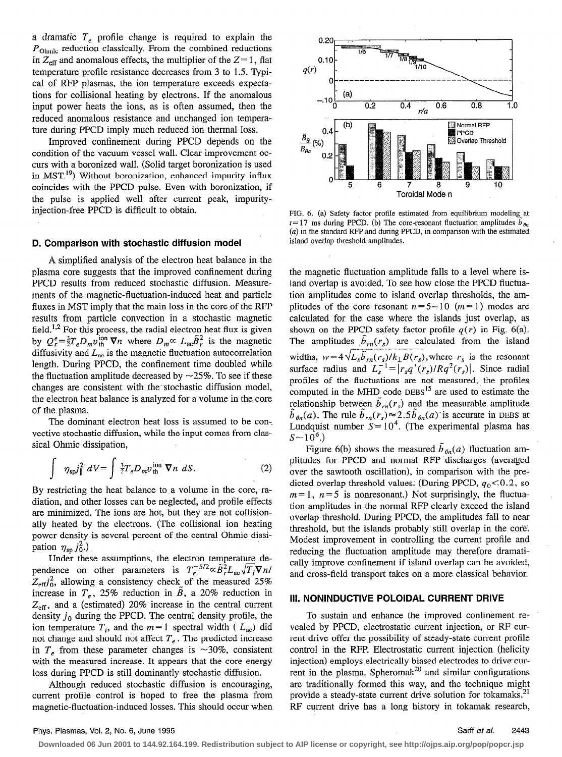a dramatic  $T<sub>e</sub>$  profile change is required to explain the  $P_{Ohmic}$  reduction classically. From the combined reductions in  $Z_{\text{eff}}$  and anomalous effects, the multiplier of the  $Z=1$ , flat temperature profile resistance decreases from 3 to 1.5. Typical of RFP plasmas, the ion temperature exceeds expectations for collisional heating by electrons. If the anomalous input power heats the ions, as is often assumed, then the reduced anomalous resistance and unchanged ion temperature during PPCD imply much reduced ion thermal loss.

Improved confinement during PPCD depends on the condition of the vacuum vessel wall. Clear improvement occurs with a boronized wall. (Solid target boronization is used in MST.<sup>19</sup>) Without boronization, enhanced impurity influx coincides with the PPCD pulse. Even with boronization, if the pulse is applied well after current peak, impurityinjection-free PPCD is difficult to obtain.

# D. Comparison with stochastic diffusion model

A simplified analysis of the electron heat balance in the plasma core suggests that the improved confinement during PPCD results from reduced stochastic diffusion. Measurements of the magnetic-fluctuation-induced heat and particle fluxes in MST imply that the main loss in the core of the RFP results from particle convection in a stochastic magnetic field.<sup>1,2</sup> For this process, the radial electron heat flux is given by  $Q_r^e = \frac{3}{2}T_e D_m v_{\text{th}}^{\text{ion}} \nabla n$  where  $D_m \propto L_{\text{ac}} \tilde{B}_r^2$  is the magnetic diffusivity and  $L_{ac}$  is the magnetic fluctuation autocorrelation length. During PPCD, the confinement time doubled while the fluctuation amplitude decreased by  $\sim$ 25%. To see if these changes are consistent with the- stochastic diffusion model, the electron heat balance is analyzed for a volume in the core of the plasma.

The dominant electron heat loss is assumed to be con-. vective stochastic diffusion, while the input comes from classical Ohmic dissipation,

$$
\int \eta_{sp} j_{\parallel}^2 dV = \int \frac{3}{2} T_e D_m v_{th}^{\text{ion}} \nabla n \ dS. \tag{2}
$$

By restricting the heat balance to a volume in the core, radiation, and other losses can be neglected, and profile effects are minimized. The ions are hot, but they are not collisionally heated by the electrons. (The collisional ion heating power density is several percent of the central Ohmic dissipation  $\eta_{sp} j_0^2$ .)

Under these assumptions, the electron temperature dependence on other parameters is  $T_e^{-5/2} \propto \tilde{B}_r^2 L_{ac} \sqrt{T_i} \nabla n/$  $Z_{\text{eff}}$ , allowing a consistency check of the measured 25% increase in  $T_e$ , 25% reduction in  $\beta$ , a 20% reduction in  $Z_{\text{eff}}$ , and a (estimated) 20% increase in the central current density  $j_0$  during the PPCD. The central density profile, the ion temperature  $T_i$ , and the  $m=1$  spectral width (  $L_{ac}$ ) did not change and should not affect  $T_e$ . The predicted increase in  $T_e$  from these parameter changes is  $\sim$ 30%, consistent with the measured increase. It appears that the core energy loss during PPCD is still dominantly stochastic diffusion.

Although reduced stochastic diffusion is encouraging, current profile control is hoped to free the plasma from magnetic-fluctuation-induced losses. This should occur when



FIG. 6. (a) Safety factor profile estimated from equilibrium modeling at  $t=17$  ms during PPCD. (b) The core-resonant fluctuation amplitudes  $\hat{b}_{\rho}$ (a) in the standard RFP and during PPCD, in comparison with the estimated island overlap threshold ampIitudes.

the magnetic fluctuation amplitude falls to a level where island overlap is avoided. To see how close the PPCD fluctuation amplitudes come to island overlap thresholds, the amplitudes of the core resonant  $n=5-10$  ( $m=1$ ) modes are calculated for the case where the islands just overlap, as shown on the PPCD safety factor profile  $q(r)$  in Fig. 6(a). The amplitudes  $\bar{b}_{rn}(r_s)$  are calculated from the island widths,  $w = 4 \sqrt{L_s b_{rn}(r_s)} / k_{\perp} B(r_s)$ , where  $r_s$  is the resonant surface radius and  $L_s^{-1} = |r_s q'(r_s)/Rq^2(r_s)|$ . Since radial profiles of the fluctuations are not measured,, the profiles computed in the MHD code  $DEBS<sup>15</sup>$  are used to estimate the relationship between  $\tilde{b}_{rn}(r_s)$  and the measurable amplitude  $\tilde{b}_{\theta n}(a)$ . The rule  $\tilde{b}_{rn}(r_s) \approx 2.5\tilde{b}_{\theta n}(a)$  is accurate in DEBS at Lundquist number  $S = 10<sup>4</sup>$ . (The experimental plasma has  $S \sim 10^6$ .)

Figure 6(b) shows the measured  $\tilde{b}_{\theta n}(a)$  fluctuation amplitudes for PPCD and normal RFP discharges (averaged over the sawtooth oscillation), in comparison with the predicted overlap threshold values: (During PPCD,  $q_0 < 0.2$ , so  $m=1$ ,  $n=5$  is nonresonant.) Not surprisingly, the fluctuation amplitudes in the normal RFP clearly exceed the island overlap threshold. During PPCD, the amplitudes fall to near threshold, but the islands probably still overlap in the core'. Modest improvement in controlling the current profile and reducing the fluctuation amplitude may therefore dramatically improve confinement if island overlap can be avoided, and cross-field transport takes on a more classical behavior.

### III. NONINDUCTIVE POLOIDAL CURRENT DRIVE

To sustain and enhance the improved confinement revealed by PPCD, electrostatic current injection, or RF current drive offer the possibility of steady-state current profile control in the RFP. Electrostatic current injection (helicity injection) employs electrically biased electrodes to drive current in the plasma. Spheromak<sup>20</sup> and similar configurations are traditionally formed this way, and the technique might provide a steady-state current drive solution for tokamaks.<sup>21</sup> RF current drive has a long history in tokamak research,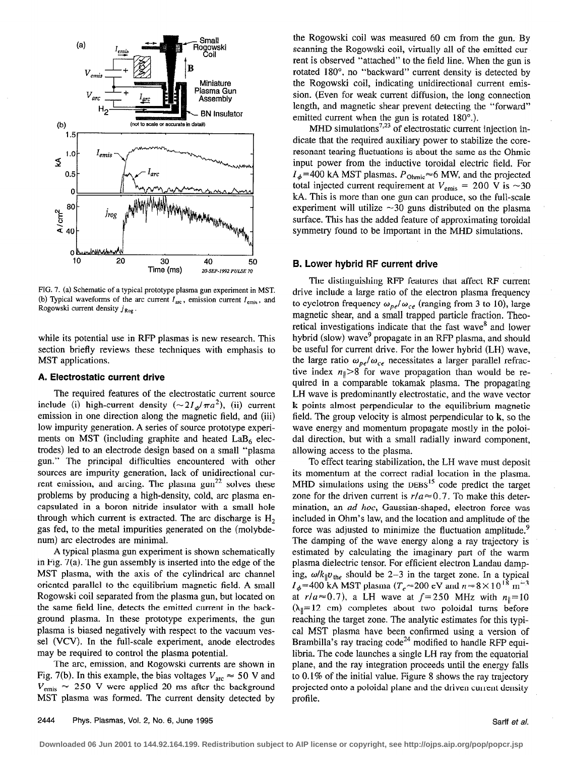

FIG. 7. (a) Schematic of a typical prototype plasma gun experiment in MST. (b) Typical waveforms of the arc current  $I_{\text{arc}}$ , emission current  $I_{\text{emis}}$ , and Rogowski current density  $j_{\text{Rog}}$ .

while its potential use in RFP plasmas is new research. This section briefly reviews these techniques with emphasis to MST applications.

#### A. Electrostatic current drive

The required features of the electrostatic current source include (i) high-current density  $({\sim}2I_d/\pi a^2)$ , (ii) current emission in one direction along the magnetic field, and (iii) low impurity generation. A series of source prototype experiments on MST (including graphite and heated  $LaB<sub>6</sub>$  electrodes) led to an electrode design based on a small "plasma gun." The principal difficulties encountered with other sources are impurity generation, lack of unidirectional current emission, and arcing. The plasma  $gun^{22}$  solves these problems by producing a high-density, cold, arc plasma encapsulated in a boron nitride insulator with a small hole through which current is extracted. The arc discharge is  $H_2$ gas fed, to the metal impurities generated on the (molybdenum) arc electrodes are minimal.

A typical plasma gun experiment is shown schematically in Fig. 7(a). The gun assembly is inserted into the edge of the MST plasma, with the axis of the cylindrical arc channel oriented parallel to the equilibrium magnetic field. A small Rogowski coil separated from the plasma gun, but located on the same field line, detects the emitted current in the background plasma. In these prototype experiments, the gun plasma is biased negatively with respect to the vacuum vessel (VCV). In the full-scale experiment, anode electrodes may be required to control the plasma potential.

The arc, emission, and Rogowski currents are shown in Fig. 7(b). In this example, the bias voltages  $V_{\text{arc}} \approx 50$  V and  $V_{\text{emis}} \approx 250$  V were applied 20 ms after the background MST plasma was formed. The current density detected by the Rogowski coil was measured 60 cm from the gun. By scanning the Rogowski coil, virtually all of the emitted current is observed "attached" to the field line. When the gun is rotated 180°, no "backward" current density is detected by the Rogowski coil, indicating unidirectional current emission. (Even for weak current diffusion, the long connection length, and magnetic shear prevent detecting the "forward" emitted current when the gun is rotated 180°.).

MHD simulations<sup>7,23</sup> of electrostatic current injection indicate that the required auxiliary power to stabilize the coreresonant tearing fluctuations is about the same as the Ohmic input power from the inductive toroidal electric field. For  $I_{\phi}$ =400 kA MST plasmas,  $P_{Ohmic} \approx 6$  MW, and the projected total injected current requirement at  $V_{\text{emis}} = 200 \text{ V}$  is  $\sim$ 30 kA. This is more than one gun can produce, so the full-scale experiment will utilize  $\sim$ 30 guns distributed on the plasma surface. This has the added feature of approximating toroidal symmetry found to be important in the MHD simulations.

## B. Lower hybrid RF current drive

The distinguishing RFP features that affect RF current drive include a large ratio of the electron plasma frequency to cyclotron frequency  $\omega_{pe}/\omega_{ce}$  (ranging from 3 to 10), large magnetic shear, and a small trapped particle fraction. Theoretical investigations indicate that the fast wave<sup>8</sup> and lower hybrid (slow) wave<sup>9</sup> propagate in an RFP plasma, and should be useful for current drive. For the lower hybrid (LH) wave, the large ratio  $\omega_{pe}/\omega_{ce}$  necessitates a larger parallel refractive index  $n_{\parallel}$  >8 for wave propagation than would be required in a comparable tokamak plasma. The propagating LH wave is predominantly electrostatic, and the wave vector k points almost perpendicular to the equilibrium magnetic field. The group velocity is almost perpendicular to  $k$ , so the wave energy and momentum propagate mostly in the poloida1 direction, but with a small radially inward component, allowing access to the plasma.

To effect tearing stabilization, the LH wave must deposit its momentum at the correct radial location in the plasma. MHD simulations using the  $DEBS<sup>15</sup>$  code predict the target zone for the driven current is  $r/a \approx 0.7$ . To make this determination, an *ad hoc*, Gaussian-shaped, electron force was included in Ohm's law, and the location and amplitude of the force was adjusted to minimize the fluctuation amplitude.<sup>9</sup> The damping of the wave energy along a ray trajectory is estimated by calculating the imaginary part of the warm plasma dielectric tensor. For efficient electron Landau damping,  $\omega/k_{\parallel}v_{\parallel}$  should be 2-3 in the target zone. In a typical  $I_{\phi}$ =400 kA MST plasma ( $T_e \approx 200$  eV and  $n \approx 8 \times 10^{18}$  m<sup>-3</sup> at  $r/a \approx 0.7$ ), a LH wave at  $f=250$  MHz with  $n_{\parallel}=10$  $(\lambda_{\parallel} = 12 \text{ cm})$  completes about two poloidal turns before reaching the target zone. The anaIytic estimates for this typical MST plasma have been confirmed using a version of Brambilla's ray tracing code<sup>24</sup> modified to handle RFP equilibria. The code launches a single LH ray from the equatorial plane, and the ray integration proceeds until the energy falls to 0.1% of the initial value. Figure 8 shows the ray trajectory projected onto a poloidal plane and the driven current density profile.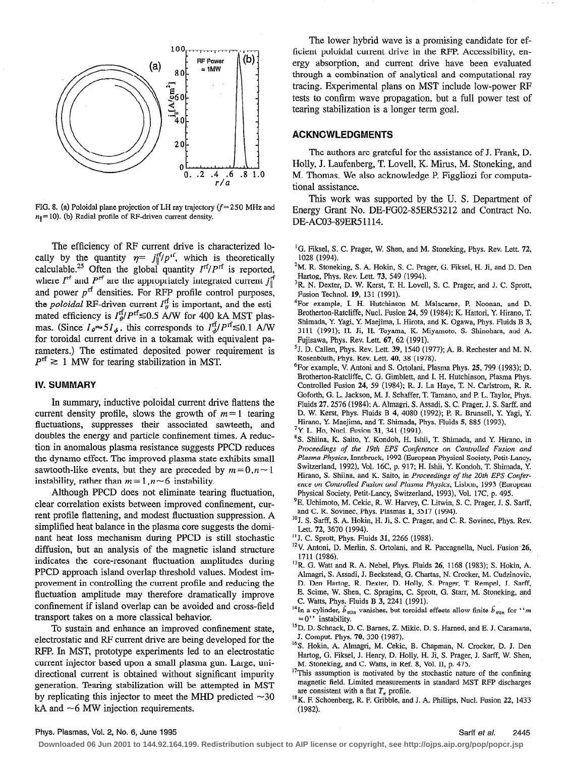

FIG. 8. (a) Poloidal plane projection of LH ray trajectory  $(f=250 \text{ MHz and})$  $n_{\parallel}$  = 10). (b) Radial profile of RF-driven current density.

The efficiency of RF current drive is characterized locally by the quantity  $\eta = j_{\parallel}^{cf}/p^{cf}$ , which is theoretically calculable.<sup>25</sup> Often the global quantity  $I<sup>rf</sup>/P<sup>rf</sup>$  is reported, where  $I^{\text{rf}}$  and  $P^{\text{rf}}$  are the appropriately integrated current  $j^{\text{rf}}_{\parallel}$ and power  $p^{\text{rf}}$  densities. For RFP profile control purposes, the *poloidal* RF-driven current  $I_{\theta}^{\text{f}}$  is important, and the estimated efficiency is  $I_{\theta}^{\text{rf}}/P^{\text{rf}} \le 0.5$  A/W for 400 kA MST plasmas. (Since  $I_{\theta} \approx 5 I_{\phi}$ , this corresponds to  $I_{\phi}^{\text{rf}}/P^{\text{rf}} \lesssim 0.1$  A/W for toroidal current drive in a tokamak with equivalent parameters.) The estimated deposited power requirement is  $P^{rf} \ge 1$  MW for tearing stabilization in MST.

# IV. SUMMARY

In summary, inductive poloidal current drive flattens the current density profile, slows the growth of  $m=1$  tearing fluctuations, suppresses their associated sawteeth, and doubles the energy and particle confinement times. A reduction in anomalous plasma resistance suggests PPCD reduces the dynamo effect. The improved plasma state exhibits small sawtooth-like events, but they are preceded by  $m = 0, n \sim 1$ instability, rather than  $m = 1, n \sim 6$  instability.

Although PPCD does not eliminate tearing fluctuation, clear correlation exists between improved confinement, current profile flattening, and modest fluctuation suppression. A simplified heat balance in the plasma core suggests the dominant heat loss mechanism during PPCD is still stochastic diffusion, but an analysis of the magnetic island structure indicates the core-resonant fluctuation amplitudes during PPCD approach island overlap threshold values. Modest improvement in controlling the current profile and reducing the fluctuation amplitude may therefore dramatically improve confinement if island overlap can be avoided and cross-field transport takes on a more classical behavior.

To sustain and enhance an improved confinement state, electrostatic and RF current drive are being developed for the RFP. In MST, prototype experiments led to an electrostatic current injector based upon a small plasma gun. Large, unidirectional current is obtained without significant impurity generation. Tearing stabilization will be attempted in MST by replicating this injector to meet the MHD predicted  $\sim$ 30 kA and  $\sim$ 6 MW injection requirements.

The lower hybrid wave is a promising candidate for efficient poloidal current drive in the RFP. Accessibility, energy absorption, and current drive have been evaluated through a combination of analytical and computational ray tracing. Experimental plans on MST include low-power RF tests to confirm wave propagation, but a full power test of tearing stabilization is a longer term goal.

# ACKNCWLEDGMENTS

The authors are grateful for the assistance of J. Frank, D. Holly, J. Laufenberg, T. Lovell, K. Mirus, M. Stoneking, and M. Thomas. We also acknowledge P. Figgliozi for computational assistance.

This work was supported by the U. S. Department of Energy Grant No. DE-FG02-85ER53212 and Contract No. DE-AC03-89ER5 1114.

- <sup>1</sup>G. Fiksel, S. C. Prager, W. Shen, and M. Stoneking, Phys. Rev. Lett. 72, 1028 (1994).
- <sup>2</sup>M. R. Stoneking, S. A. Hokin, S. C. Prager, G. Fiksel, H. Ji, and D. Den Hartog, Phys. Rev. Lett. 73, 549 (1994).
- <sup>3</sup>R. N. Dexter, D. W. Kerst, T. H. Lovell, S. C. Prager, and J. C. Sprott, Fusion Technol. 19, 131 (1991).
- 4For example, I. H. Hutchinson M. Malacarne, P. Noonan, and D. Brotherton-Ratcliffe, Nucl. Fusion 24, 59 (1984); K. Hattori, Y. Hirano, T. Shimada, Y. Yagi, Y. Maejima, I. Hirota, and K. Ogawa, Phys. Fluids B 3, 3111 (1991); H. Ji, H. Toyama, K. Miyamoto, S. Shinohara, and A. Fujisawa, Phys. Rev. Lett. 67, 62 (1991).
- $<sup>5</sup>$ J. D. Callen, Phys. Rev. Lett. 39, 1540 (1977); A. B. Rechester and M. N.</sup> Rosenbluth, Phys. Rev. Lett. 40, 38 (1978).
- 6For example, V. Antoni and S. Ortolani, Plasma Phys. 25, 799 (1983); D. Brotherton-Ratcliffe, C. G. Gimblett, and I. H. Hutchinson, Plasma Phys. Controlled Fusion 24, 59 (1984); R. J. La Haye, T. N. Carlstrom, R. R. Goforth, G. L. Jackson, M. J. Schaffer, T. Tamano, and P. L. Taylor, Phys. Fluids 27,2576 (1984); A. Almagri, S. Assadi, S. C. Prager, J. S. Sarff, and D. W. Kerst, Phys. Fluids B 4, 4080 (1992); P. R. Brunsell, Y. Yagi, Y. Hirano, Y. Maejima, and T. Shimada, Phys. Fluids 5, 885 (1993).
- 7Y. L. Ho, Nucl. Fusion 31, 341 (1991).
- 8S. Shiina, K. Saito, Y. Kondoh, H. Ishii, T. Shimada, and Y. Hirano, in Proceedings of the 19th EPS Conference on Controlled Fusion and Plasma Physics, Innsbruck, 1992 (European Physical Society, Petit-Lancy, Switzerland, 1992), Vol. 16C, p. 917; H. Ishii, Y. Kondoh, T. Shimada, Y. Hirano, S. Shiina, and K. Saito, in Proceedings of the 20th EPS Conference on Controlled Fusion and Plasma Physics, Lisbon, 1993 (European Physical Society, Petit-Lancy, Switzerland, 1993). Vol. 17C, p. 495.
- <sup>9</sup>E. Uchimoto, M. Cekic, R. W. Harvey, C. Litwin, S. C. Prager, J. S. Sarff, and C. R. Sovinec, Phys. Plasmas 1, 3517 (1994).
- $^{10}$ J. S. Sarff, S. A. Hokin, H. Ji, S. C. Prager, and C. R. Sovinec, Phys. Rev. Lett. 72, 3670 (1994).
- "J. C. Sprott, Phys. Fluids 31, 2266 (1988).
- <sup>12</sup>V. Antoni, D. Merlin, S. Ortolani, and R. Paccagnella, Nucl. Fusion<sup>-26</sup>, 1711 (1986).
- <sup>13</sup>R. G. Watt and R. A. Nebel, Phys. Fluids 26, 1168 (1983); S. Hokin, A. Almagri, S. Assadi, J. Beckstead, G. Chartas, N. Cracker, M. Cudzinovic, D. Den Hartog, R. Dexter, D. Holly, S. Prager, T. Rempel, J. Sarff, E. Scime, W. Shen, C. Spragins, C. Sprott, G. Starr, M. Stoneking, and
- C. Watts, Phys. Fluids B 3, 2241 (1991). <sup>14</sup>In a cylinder,  $\tilde{b}_{\theta 0n}$  vanishes, but toroidal effects allow finite  $\tilde{b}_{\theta 0n}$  for "m  $= 0'$  ' instability.
- <sup>15</sup>D. D. Schnack, D. C. Barnes, Z. Mikic, D. S. Harned, and E. J. Caramana, J. Comput. Phys. 70, 330 (1987).
- <sup>16</sup>S. Hokin, A. Almagri, M. Cekic, B. Chapman, N. Crocker, D. J. Den Hartog, G. Fiksel, I. Henry, D. Holly, H. Ji, S. Prager, J. Sarff, W. Shen, M. Stoneking, and C. Watts, in Ref. 8, Vol. II, p. 475.
- <sup>17</sup>This assumption is motivated by the stochastic nature of the confining magnetic field. Limited measurements in standard MST RFP discharges are consistent with a flat  $T_e$  profile.
- 18K. F. Schoenberg, R. F. Gribble, and J. A. Phillips, Nucl. Fusion 22, 1433 (1982).

#### Phys. Plasmas, Vol. 2, No. 6, June 1995 Sarff et al. 2445